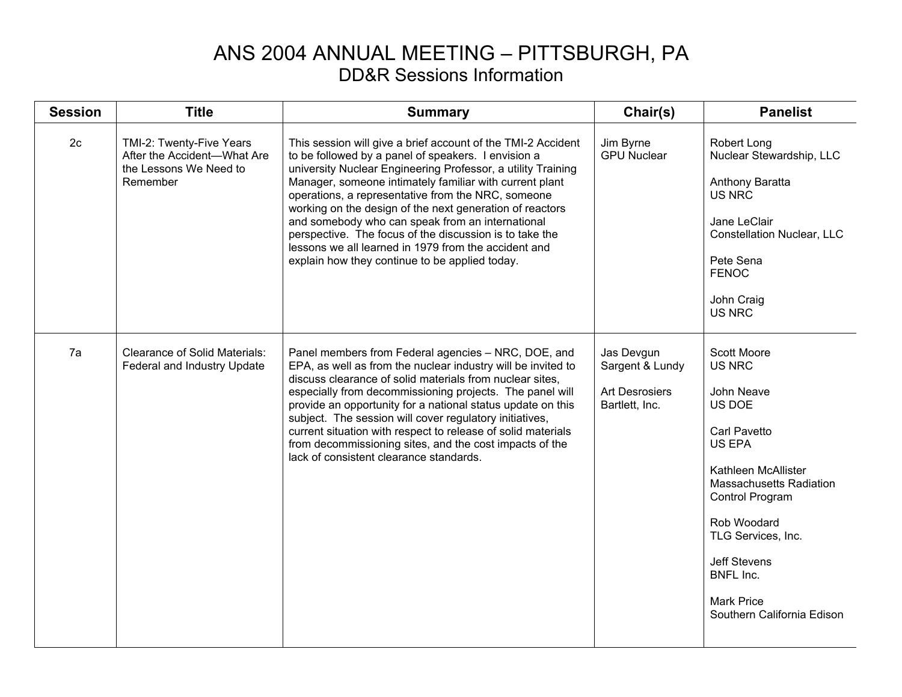## ANS 2004 ANNUAL MEETING – PITTSBURGH, PA DD&R Sessions Information

| <b>Session</b> | <b>Title</b>                                                                                  | <b>Summary</b>                                                                                                                                                                                                                                                                                                                                                                                                                                                                                                                                                                            | Chair(s)                                                                 | <b>Panelist</b>                                                                                                                                                                                                                                                                                             |
|----------------|-----------------------------------------------------------------------------------------------|-------------------------------------------------------------------------------------------------------------------------------------------------------------------------------------------------------------------------------------------------------------------------------------------------------------------------------------------------------------------------------------------------------------------------------------------------------------------------------------------------------------------------------------------------------------------------------------------|--------------------------------------------------------------------------|-------------------------------------------------------------------------------------------------------------------------------------------------------------------------------------------------------------------------------------------------------------------------------------------------------------|
| 2c             | TMI-2: Twenty-Five Years<br>After the Accident-What Are<br>the Lessons We Need to<br>Remember | This session will give a brief account of the TMI-2 Accident<br>to be followed by a panel of speakers. I envision a<br>university Nuclear Engineering Professor, a utility Training<br>Manager, someone intimately familiar with current plant<br>operations, a representative from the NRC, someone<br>working on the design of the next generation of reactors<br>and somebody who can speak from an international<br>perspective. The focus of the discussion is to take the<br>lessons we all learned in 1979 from the accident and<br>explain how they continue to be applied today. | Jim Byrne<br><b>GPU Nuclear</b>                                          | Robert Long<br>Nuclear Stewardship, LLC<br>Anthony Baratta<br><b>US NRC</b><br>Jane LeClair<br><b>Constellation Nuclear, LLC</b><br>Pete Sena<br><b>FENOC</b><br>John Craig<br><b>US NRC</b>                                                                                                                |
| 7a             | <b>Clearance of Solid Materials:</b><br>Federal and Industry Update                           | Panel members from Federal agencies - NRC, DOE, and<br>EPA, as well as from the nuclear industry will be invited to<br>discuss clearance of solid materials from nuclear sites.<br>especially from decommissioning projects. The panel will<br>provide an opportunity for a national status update on this<br>subject. The session will cover regulatory initiatives,<br>current situation with respect to release of solid materials<br>from decommissioning sites, and the cost impacts of the<br>lack of consistent clearance standards.                                               | Jas Devgun<br>Sargent & Lundy<br><b>Art Desrosiers</b><br>Bartlett, Inc. | <b>Scott Moore</b><br><b>US NRC</b><br>John Neave<br>US DOE<br>Carl Pavetto<br><b>US EPA</b><br>Kathleen McAllister<br><b>Massachusetts Radiation</b><br>Control Program<br>Rob Woodard<br>TLG Services, Inc.<br><b>Jeff Stevens</b><br><b>BNFL Inc.</b><br><b>Mark Price</b><br>Southern California Edison |